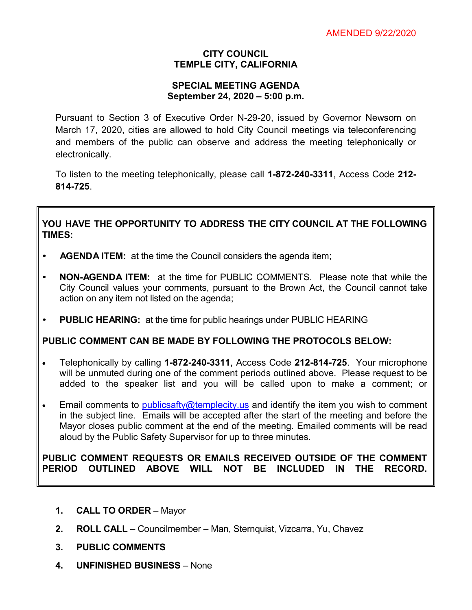### **CITY COUNCIL TEMPLE CITY, CALIFORNIA**

### **SPECIAL MEETING AGENDA September 24, 2020 – 5:00 p.m.**

Pursuant to Section 3 of Executive Order N-29-20, issued by Governor Newsom on March 17, 2020, cities are allowed to hold City Council meetings via teleconferencing and members of the public can observe and address the meeting telephonically or electronically.

To listen to the meeting telephonically, please call **1-872-240-3311**, Access Code **212- 814-725**.

# **YOU HAVE THE OPPORTUNITY TO ADDRESS THE CITY COUNCIL AT THE FOLLOWING TIMES:**

- **AGENDA ITEM:** at the time the Council considers the agenda item;
- **NON-AGENDA ITEM:** at the time for PUBLIC COMMENTS. Please note that while the City Council values your comments, pursuant to the Brown Act, the Council cannot take action on any item not listed on the agenda;
- **PUBLIC HEARING:** at the time for public hearings under PUBLIC HEARING

# **PUBLIC COMMENT CAN BE MADE BY FOLLOWING THE PROTOCOLS BELOW:**

- Telephonically by calling **1-872-240-3311**, Access Code **212-814-725**. Your microphone will be unmuted during one of the comment periods outlined above. Please request to be added to the speaker list and you will be called upon to make a comment; or
- Email comments to [publicsafty@templecity.us](mailto:publicsafety@templecity.us) and identify the item you wish to comment in the subject line. Emails will be accepted after the start of the meeting and before the Mayor closes public comment at the end of the meeting. Emailed comments will be read aloud by the Public Safety Supervisor for up to three minutes.

#### **PUBLIC COMMENT REQUESTS OR EMAILS RECEIVED OUTSIDE OF THE COMMENT PERIOD OUTLINED ABOVE WILL NOT BE INCLUDED IN THE RECORD.**

- **1. CALL TO ORDER** Mayor
- **2. ROLL CALL** Councilmember Man, Sternquist, Vizcarra, Yu, Chavez
- **3. PUBLIC COMMENTS**
- **4. UNFINISHED BUSINESS** None